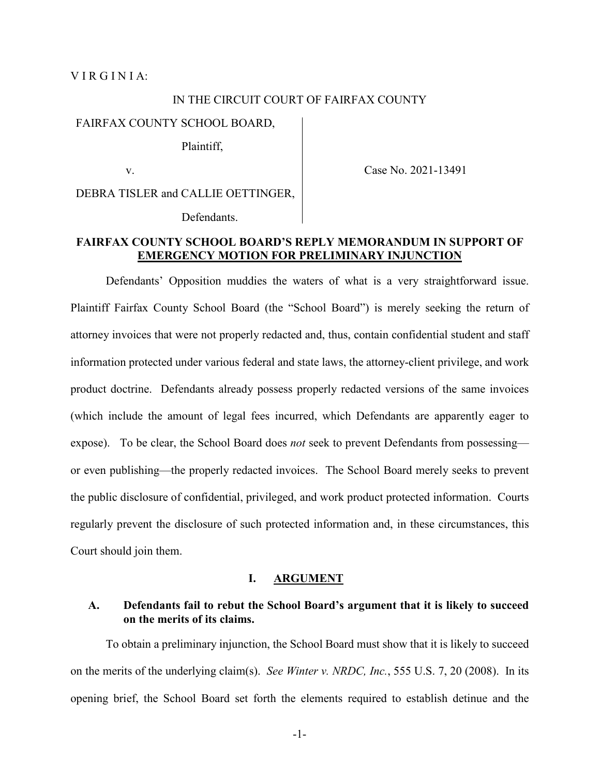### VIRGINIA:

#### IN THE CIRCUIT COURT OF FAIRFAX COUNTY

#### FAIRFAX COUNTY SCHOOL BOARD,

Plaintiff,

v.

Case No. 2021-13491

DEBRA TISLER and CALLIE OETTINGER,

Defendants.

## **FAIRFAX COUNTY SCHOOL BOARD'S REPLY MEMORANDUM IN SUPPORT OF EMERGENCY MOTION FOR PRELIMINARY INJUNCTION**

Defendants' Opposition muddies the waters of what is a very straightforward issue. Plaintiff Fairfax County School Board (the "School Board") is merely seeking the return of attorney invoices that were not properly redacted and, thus, contain confidential student and staff information protected under various federal and state laws, the attorney-client privilege, and work product doctrine. Defendants already possess properly redacted versions of the same invoices (which include the amount of legal fees incurred, which Defendants are apparently eager to expose). To be clear, the School Board does *not* seek to prevent Defendants from possessing or even publishing—the properly redacted invoices. The School Board merely seeks to prevent the public disclosure of confidential, privileged, and work product protected information. Courts regularly prevent the disclosure of such protected information and, in these circumstances, this Court should join them.

#### **I. ARGUMENT**

## **A. Defendants fail to rebut the School Board's argument that it is likely to succeed on the merits of its claims.**

To obtain a preliminary injunction, the School Board must show that it is likely to succeed on the merits of the underlying claim(s). *See Winter v. NRDC, Inc.*, 555 U.S. 7, 20 (2008). In its opening brief, the School Board set forth the elements required to establish detinue and the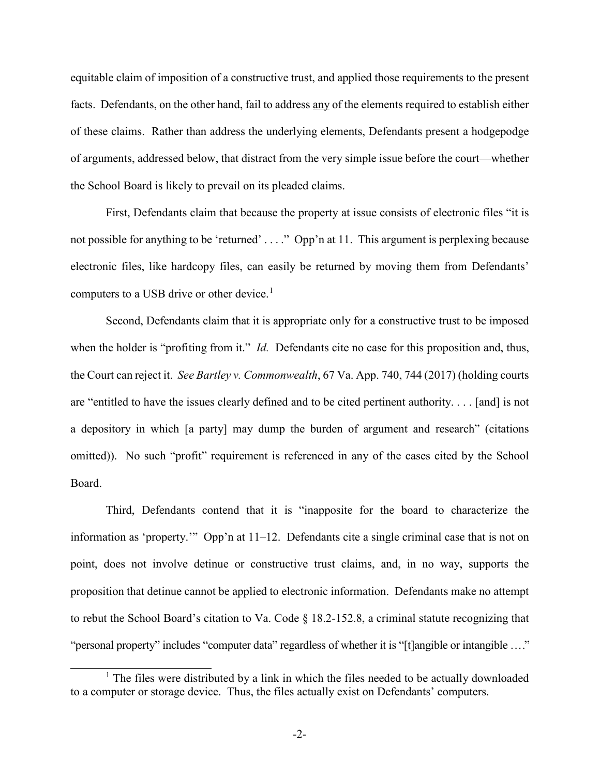equitable claim of imposition of a constructive trust, and applied those requirements to the present facts. Defendants, on the other hand, fail to address any of the elements required to establish either of these claims. Rather than address the underlying elements, Defendants present a hodgepodge of arguments, addressed below, that distract from the very simple issue before the court—whether the School Board is likely to prevail on its pleaded claims.

First, Defendants claim that because the property at issue consists of electronic files "it is not possible for anything to be 'returned' ...." Opp'n at 11. This argument is perplexing because electronic files, like hardcopy files, can easily be returned by moving them from Defendants' computers to a USB drive or other device.<sup>[1](#page-1-0)</sup>

Second, Defendants claim that it is appropriate only for a constructive trust to be imposed when the holder is "profiting from it." *Id.* Defendants cite no case for this proposition and, thus, the Court can reject it. *See Bartley v. Commonwealth*, 67 Va. App. 740, 744 (2017) (holding courts are "entitled to have the issues clearly defined and to be cited pertinent authority. . . . [and] is not a depository in which [a party] may dump the burden of argument and research" (citations omitted)). No such "profit" requirement is referenced in any of the cases cited by the School Board.

Third, Defendants contend that it is "inapposite for the board to characterize the information as 'property.'" Opp'n at 11–12. Defendants cite a single criminal case that is not on point, does not involve detinue or constructive trust claims, and, in no way, supports the proposition that detinue cannot be applied to electronic information. Defendants make no attempt to rebut the School Board's citation to Va. Code § 18.2-152.8, a criminal statute recognizing that "personal property" includes "computer data" regardless of whether it is "[t]angible or intangible . . . ."

<span id="page-1-0"></span> $<sup>1</sup>$  The files were distributed by a link in which the files needed to be actually downloaded</sup> to a computer or storage device. Thus, the files actually exist on Defendants' computers.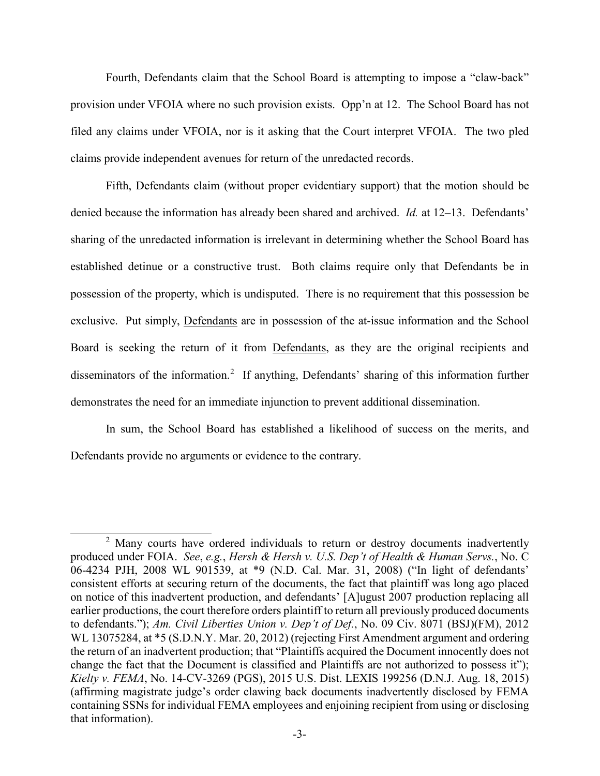Fourth, Defendants claim that the School Board is attempting to impose a "claw-back" provision under VFOIA where no such provision exists. Opp'n at 12. The School Board has not filed any claims under VFOIA, nor is it asking that the Court interpret VFOIA. The two pled claims provide independent avenues for return of the unredacted records.

Fifth, Defendants claim (without proper evidentiary support) that the motion should be denied because the information has already been shared and archived. *Id.* at 12–13. Defendants' sharing of the unredacted information is irrelevant in determining whether the School Board has established detinue or a constructive trust. Both claims require only that Defendants be in possession of the property, which is undisputed. There is no requirement that this possession be exclusive. Put simply, Defendants are in possession of the at-issue information and the School Board is seeking the return of it from Defendants, as they are the original recipients and disseminators of the information.<sup>[2](#page-2-0)</sup> If anything, Defendants' sharing of this information further demonstrates the need for an immediate injunction to prevent additional dissemination.

In sum, the School Board has established a likelihood of success on the merits, and Defendants provide no arguments or evidence to the contrary.

<span id="page-2-0"></span><sup>&</sup>lt;sup>2</sup> Many courts have ordered individuals to return or destroy documents inadvertently produced under FOIA. *See*, *e.g.*, *Hersh & Hersh v. U.S. Dep't of Health & Human Servs.*, No. C 06-4234 PJH, 2008 WL 901539, at \*9 (N.D. Cal. Mar. 31, 2008) ("In light of defendants' consistent efforts at securing return of the documents, the fact that plaintiff was long ago placed on notice of this inadvertent production, and defendants' [A]ugust 2007 production replacing all earlier productions, the court therefore orders plaintiff to return all previously produced documents to defendants."); *Am. Civil Liberties Union v. Dep't of Def.*, No. 09 Civ. 8071 (BSJ)(FM), 2012 WL 13075284, at \*5 (S.D.N.Y. Mar. 20, 2012) (rejecting First Amendment argument and ordering the return of an inadvertent production; that "Plaintiffs acquired the Document innocently does not change the fact that the Document is classified and Plaintiffs are not authorized to possess it"); *Kielty v. FEMA*, No. 14-CV-3269 (PGS), 2015 U.S. Dist. LEXIS 199256 (D.N.J. Aug. 18, 2015) (affirming magistrate judge's order clawing back documents inadvertently disclosed by FEMA containing SSNs for individual FEMA employees and enjoining recipient from using or disclosing that information).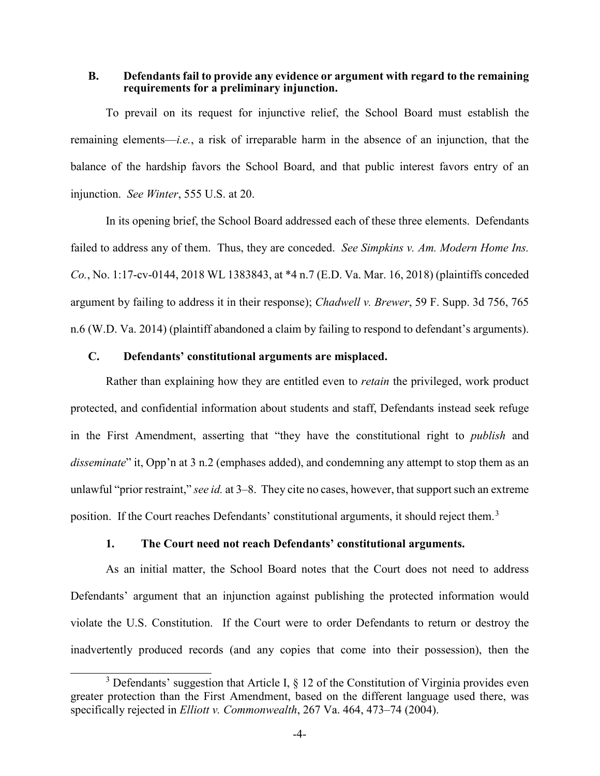### **B. Defendants fail to provide any evidence or argument with regard to the remaining requirements for a preliminary injunction.**

To prevail on its request for injunctive relief, the School Board must establish the remaining elements—*i.e.*, a risk of irreparable harm in the absence of an injunction, that the balance of the hardship favors the School Board, and that public interest favors entry of an injunction. *See Winter*, 555 U.S. at 20.

In its opening brief, the School Board addressed each of these three elements. Defendants failed to address any of them. Thus, they are conceded. *See Simpkins v. Am. Modern Home Ins. Co.*, No. 1:17-cv-0144, 2018 WL 1383843, at \*4 n.7 (E.D. Va. Mar. 16, 2018) (plaintiffs conceded argument by failing to address it in their response); *Chadwell v. Brewer*, 59 F. Supp. 3d 756, 765 n.6 (W.D. Va. 2014) (plaintiff abandoned a claim by failing to respond to defendant's arguments).

### **C. Defendants' constitutional arguments are misplaced.**

Rather than explaining how they are entitled even to *retain* the privileged, work product protected, and confidential information about students and staff, Defendants instead seek refuge in the First Amendment, asserting that "they have the constitutional right to *publish* and *disseminate*" it, Opp'n at 3 n.2 (emphases added), and condemning any attempt to stop them as an unlawful "prior restraint," *see id.* at 3–8. They cite no cases, however, that support such an extreme position. If the Court reaches Defendants' constitutional arguments, it should reject them.<sup>[3](#page-3-0)</sup>

### **1. The Court need not reach Defendants' constitutional arguments.**

As an initial matter, the School Board notes that the Court does not need to address Defendants' argument that an injunction against publishing the protected information would violate the U.S. Constitution. If the Court were to order Defendants to return or destroy the inadvertently produced records (and any copies that come into their possession), then the

<span id="page-3-0"></span> $3$  Defendants' suggestion that Article I,  $\S$  12 of the Constitution of Virginia provides even greater protection than the First Amendment, based on the different language used there, was specifically rejected in *Elliott v. Commonwealth*, 267 Va. 464, 473–74 (2004).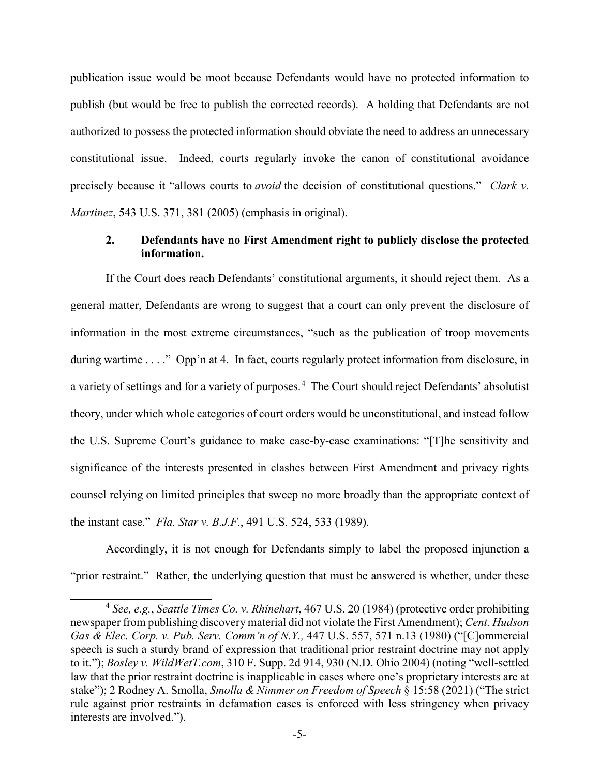publication issue would be moot because Defendants would have no protected information to publish (but would be free to publish the corrected records). A holding that Defendants are not authorized to possess the protected information should obviate the need to address an unnecessary constitutional issue. Indeed, courts regularly invoke the canon of constitutional avoidance precisely because it "allows courts to *avoid* the decision of constitutional questions." *Clark v. Martinez*, 543 U.S. 371, 381 (2005) (emphasis in original).

## **2. Defendants have no First Amendment right to publicly disclose the protected information.**

If the Court does reach Defendants' constitutional arguments, it should reject them. As a general matter, Defendants are wrong to suggest that a court can only prevent the disclosure of information in the most extreme circumstances, "such as the publication of troop movements during wartime . . . ." Opp'n at 4. In fact, courts regularly protect information from disclosure, in a variety of settings and for a variety of purposes.<sup>[4](#page-4-0)</sup> The Court should reject Defendants' absolutist theory, under which whole categories of court orders would be unconstitutional, and instead follow the U.S. Supreme Court's guidance to make case-by-case examinations: "[T]he sensitivity and significance of the interests presented in clashes between First Amendment and privacy rights counsel relying on limited principles that sweep no more broadly than the appropriate context of the instant case." *Fla. Star v. B.J.F.*, 491 U.S. 524, 533 (1989).

Accordingly, it is not enough for Defendants simply to label the proposed injunction a "prior restraint." Rather, the underlying question that must be answered is whether, under these

<span id="page-4-0"></span> <sup>4</sup> *See, e.g.*, *Seattle Times Co. v. Rhinehart*, 467 U.S. 20 (1984) (protective order prohibiting newspaper from publishing discovery material did not violate the First Amendment); *Cent. Hudson Gas & Elec. Corp. v. Pub. Serv. Comm'n of N.Y.,* 447 U.S. 557, 571 n.13 (1980) ("[C]ommercial speech is such a sturdy brand of expression that traditional prior restraint doctrine may not apply to it."); *Bosley v. WildWetT.com*, 310 F. Supp. 2d 914, 930 (N.D. Ohio 2004) (noting "well-settled law that the prior restraint doctrine is inapplicable in cases where one's proprietary interests are at stake"); 2 Rodney A. Smolla, *Smolla & Nimmer on Freedom of Speech* § 15:58 (2021) ("The strict rule against prior restraints in defamation cases is enforced with less stringency when privacy interests are involved.").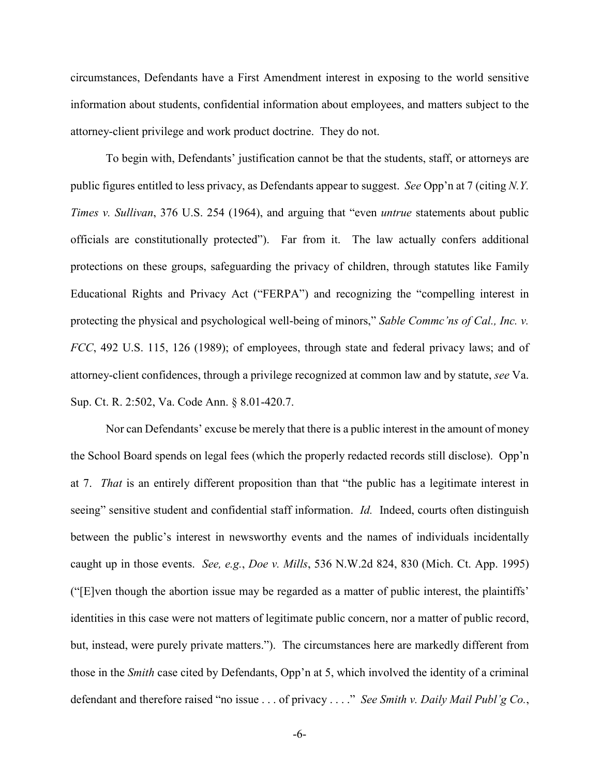circumstances, Defendants have a First Amendment interest in exposing to the world sensitive information about students, confidential information about employees, and matters subject to the attorney-client privilege and work product doctrine. They do not.

To begin with, Defendants' justification cannot be that the students, staff, or attorneys are public figures entitled to less privacy, as Defendants appear to suggest. *See* Opp'n at 7 (citing *N.Y. Times v. Sullivan*, 376 U.S. 254 (1964), and arguing that "even *untrue* statements about public officials are constitutionally protected"). Far from it. The law actually confers additional protections on these groups, safeguarding the privacy of children, through statutes like Family Educational Rights and Privacy Act ("FERPA") and recognizing the "compelling interest in protecting the physical and psychological well-being of minors," *Sable Commc'ns of Cal., Inc. v. FCC*, 492 U.S. 115, 126 (1989); of employees, through state and federal privacy laws; and of attorney-client confidences, through a privilege recognized at common law and by statute, *see* Va. Sup. Ct. R. 2:502, Va. Code Ann. § 8.01-420.7.

Nor can Defendants' excuse be merely that there is a public interest in the amount of money the School Board spends on legal fees (which the properly redacted records still disclose). Opp'n at 7. *That* is an entirely different proposition than that "the public has a legitimate interest in seeing" sensitive student and confidential staff information. *Id.* Indeed, courts often distinguish between the public's interest in newsworthy events and the names of individuals incidentally caught up in those events. *See, e.g.*, *Doe v. Mills*, 536 N.W.2d 824, 830 (Mich. Ct. App. 1995) ("[E]ven though the abortion issue may be regarded as a matter of public interest, the plaintiffs' identities in this case were not matters of legitimate public concern, nor a matter of public record, but, instead, were purely private matters."). The circumstances here are markedly different from those in the *Smith* case cited by Defendants, Opp'n at 5, which involved the identity of a criminal defendant and therefore raised "no issue . . . of privacy . . . ." *See Smith v. Daily Mail Publ'g Co.*,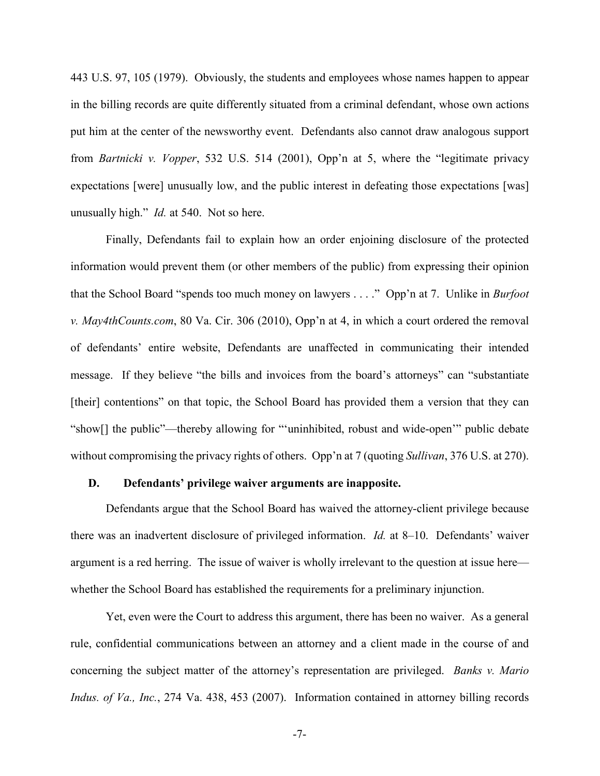443 U.S. 97, 105 (1979). Obviously, the students and employees whose names happen to appear in the billing records are quite differently situated from a criminal defendant, whose own actions put him at the center of the newsworthy event. Defendants also cannot draw analogous support from *Bartnicki v. Vopper*, 532 U.S. 514 (2001), Opp'n at 5, where the "legitimate privacy expectations [were] unusually low, and the public interest in defeating those expectations [was] unusually high." *Id.* at 540. Not so here.

Finally, Defendants fail to explain how an order enjoining disclosure of the protected information would prevent them (or other members of the public) from expressing their opinion that the School Board "spends too much money on lawyers . . . ." Opp'n at 7. Unlike in *Burfoot v. May4thCounts.com*, 80 Va. Cir. 306 (2010), Opp'n at 4, in which a court ordered the removal of defendants' entire website, Defendants are unaffected in communicating their intended message. If they believe "the bills and invoices from the board's attorneys" can "substantiate [their] contentions" on that topic, the School Board has provided them a version that they can "show[] the public"—thereby allowing for "'uninhibited, robust and wide-open'" public debate without compromising the privacy rights of others. Opp'n at 7 (quoting *Sullivan*, 376 U.S. at 270).

#### **D. Defendants' privilege waiver arguments are inapposite.**

Defendants argue that the School Board has waived the attorney-client privilege because there was an inadvertent disclosure of privileged information. *Id.* at 8–10. Defendants' waiver argument is a red herring. The issue of waiver is wholly irrelevant to the question at issue here whether the School Board has established the requirements for a preliminary injunction.

Yet, even were the Court to address this argument, there has been no waiver. As a general rule, confidential communications between an attorney and a client made in the course of and concerning the subject matter of the attorney's representation are privileged. *Banks v. Mario Indus. of Va., Inc.*, 274 Va. 438, 453 (2007). Information contained in attorney billing records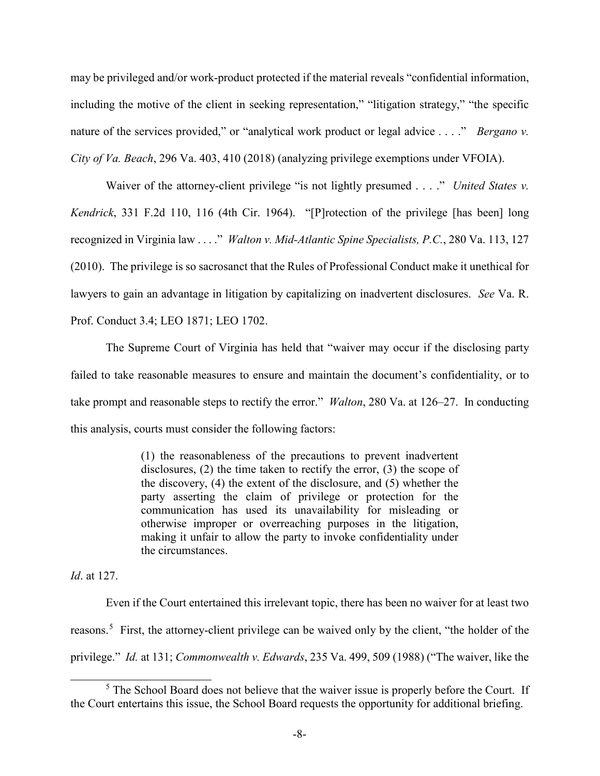may be privileged and/or work-product protected if the material reveals "confidential information, including the motive of the client in seeking representation," "litigation strategy," "the specific nature of the services provided," or "analytical work product or legal advice . . . ." *Bergano v. City of Va. Beach*, 296 Va. 403, 410 (2018) (analyzing privilege exemptions under VFOIA).

Waiver of the attorney-client privilege "is not lightly presumed . . . ." *United States v. Kendrick*, 331 F.2d 110, 116 (4th Cir. 1964). "[P]rotection of the privilege [has been] long recognized in Virginia law . . . ." *Walton v. Mid-Atlantic Spine Specialists, P.C.*, 280 Va. 113, 127 (2010). The privilege is so sacrosanct that the Rules of Professional Conduct make it unethical for lawyers to gain an advantage in litigation by capitalizing on inadvertent disclosures. *See* Va. R. Prof. Conduct 3.4; LEO 1871; LEO 1702.

The Supreme Court of Virginia has held that "waiver may occur if the disclosing party failed to take reasonable measures to ensure and maintain the document's confidentiality, or to take prompt and reasonable steps to rectify the error." *Walton*, 280 Va. at 126–27. In conducting this analysis, courts must consider the following factors:

> (1) the reasonableness of the precautions to prevent inadvertent disclosures, (2) the time taken to rectify the error, (3) the scope of the discovery, (4) the extent of the disclosure, and (5) whether the party asserting the claim of privilege or protection for the communication has used its unavailability for misleading or otherwise improper or overreaching purposes in the litigation, making it unfair to allow the party to invoke confidentiality under the circumstances.

*Id*. at 127.

Even if the Court entertained this irrelevant topic, there has been no waiver for at least two reasons.<sup>[5](#page-7-0)</sup> First, the attorney-client privilege can be waived only by the client, "the holder of the privilege." *Id.* at 131; *Commonwealth v. Edwards*, 235 Va. 499, 509 (1988) ("The waiver, like the

<span id="page-7-0"></span><sup>&</sup>lt;sup>5</sup> The School Board does not believe that the waiver issue is properly before the Court. If the Court entertains this issue, the School Board requests the opportunity for additional briefing.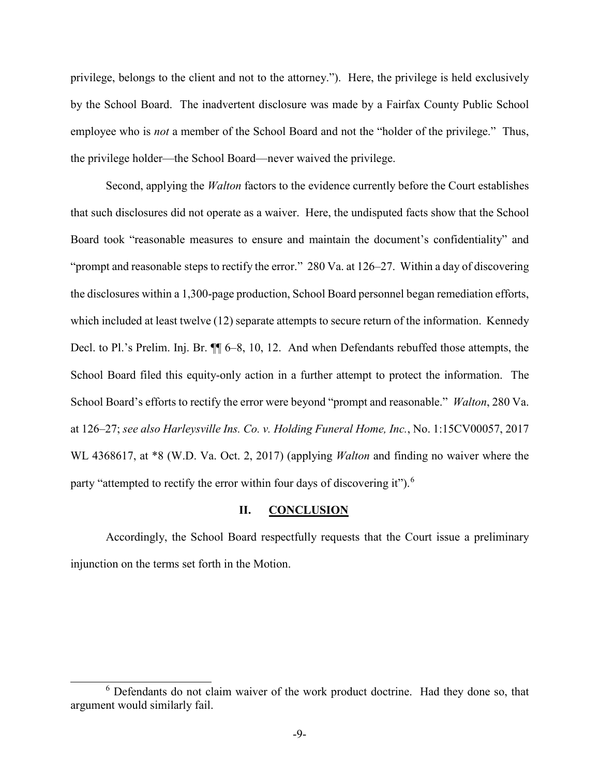privilege, belongs to the client and not to the attorney."). Here, the privilege is held exclusively by the School Board. The inadvertent disclosure was made by a Fairfax County Public School employee who is *not* a member of the School Board and not the "holder of the privilege." Thus, the privilege holder—the School Board—never waived the privilege.

Second, applying the *Walton* factors to the evidence currently before the Court establishes that such disclosures did not operate as a waiver. Here, the undisputed facts show that the School Board took "reasonable measures to ensure and maintain the document's confidentiality" and "prompt and reasonable steps to rectify the error." 280 Va. at 126–27. Within a day of discovering the disclosures within a 1,300-page production, School Board personnel began remediation efforts, which included at least twelve (12) separate attempts to secure return of the information. Kennedy Decl. to Pl.'s Prelim. Inj. Br. ¶¶ 6–8, 10, 12. And when Defendants rebuffed those attempts, the School Board filed this equity-only action in a further attempt to protect the information. The School Board's efforts to rectify the error were beyond "prompt and reasonable." *Walton*, 280 Va. at 126–27; *see also Harleysville Ins. Co. v. Holding Funeral Home, Inc.*, No. 1:15CV00057, 2017 WL 4368617, at \*8 (W.D. Va. Oct. 2, 2017) (applying *Walton* and finding no waiver where the party "attempted to rectify the error within four days of discovering it").<sup>[6](#page-8-0)</sup>

### **II. CONCLUSION**

Accordingly, the School Board respectfully requests that the Court issue a preliminary injunction on the terms set forth in the Motion.

<span id="page-8-0"></span> <sup>6</sup> Defendants do not claim waiver of the work product doctrine. Had they done so, that argument would similarly fail.